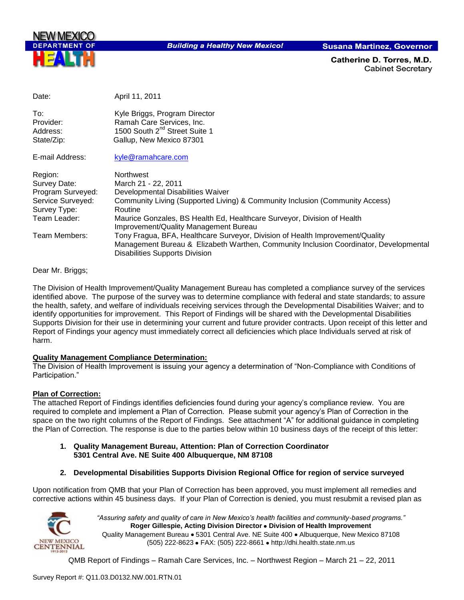

**Building a Healthy New Mexico!** 

**Susana Martinez, Governor** 

Catherine D. Torres. M.D. **Cabinet Secretary** 

| Date:                                                                                             | April 11, 2011                                                                                                                                                                                                                                                                              |
|---------------------------------------------------------------------------------------------------|---------------------------------------------------------------------------------------------------------------------------------------------------------------------------------------------------------------------------------------------------------------------------------------------|
| To:<br>Provider:<br>Address:<br>State/Zip:                                                        | Kyle Briggs, Program Director<br>Ramah Care Services, Inc.<br>1500 South 2 <sup>nd</sup> Street Suite 1<br>Gallup, New Mexico 87301                                                                                                                                                         |
| E-mail Address:                                                                                   | kyle@ramahcare.com                                                                                                                                                                                                                                                                          |
| Region:<br>Survey Date:<br>Program Surveyed:<br>Service Surveyed:<br>Survey Type:<br>Team Leader: | <b>Northwest</b><br>March 21 - 22, 2011<br>Developmental Disabilities Waiver<br>Community Living (Supported Living) & Community Inclusion (Community Access)<br>Routine<br>Maurice Gonzales, BS Health Ed, Healthcare Surveyor, Division of Health<br>Improvement/Quality Management Bureau |
| Team Members:                                                                                     | Tony Fragua, BFA, Healthcare Surveyor, Division of Health Improvement/Quality<br>Management Bureau & Elizabeth Warthen, Community Inclusion Coordinator, Developmental<br><b>Disabilities Supports Division</b>                                                                             |

Dear Mr. Briggs;

The Division of Health Improvement/Quality Management Bureau has completed a compliance survey of the services identified above. The purpose of the survey was to determine compliance with federal and state standards; to assure the health, safety, and welfare of individuals receiving services through the Developmental Disabilities Waiver; and to identify opportunities for improvement. This Report of Findings will be shared with the Developmental Disabilities Supports Division for their use in determining your current and future provider contracts. Upon receipt of this letter and Report of Findings your agency must immediately correct all deficiencies which place Individuals served at risk of harm.

## **Quality Management Compliance Determination:**

The Division of Health Improvement is issuing your agency a determination of "Non-Compliance with Conditions of Participation."

## **Plan of Correction:**

The attached Report of Findings identifies deficiencies found during your agency"s compliance review. You are required to complete and implement a Plan of Correction. Please submit your agency"s Plan of Correction in the space on the two right columns of the Report of Findings. See attachment "A" for additional guidance in completing the Plan of Correction. The response is due to the parties below within 10 business days of the receipt of this letter:

- **1. Quality Management Bureau, Attention: Plan of Correction Coordinator 5301 Central Ave. NE Suite 400 Albuquerque, NM 87108**
- **2. Developmental Disabilities Supports Division Regional Office for region of service surveyed**

Upon notification from QMB that your Plan of Correction has been approved, you must implement all remedies and corrective actions within 45 business days. If your Plan of Correction is denied, you must resubmit a revised plan as



*"Assuring safety and quality of care in New Mexico's health facilities and community-based programs."* **Roger Gillespie, Acting Division Director Division of Health Improvement**  Quality Management Bureau • 5301 Central Ave. NE Suite 400 • Albuquerque, New Mexico 87108 (505) 222-8623 • FAX: (505) 222-8661 • http://dhi.health.state.nm.us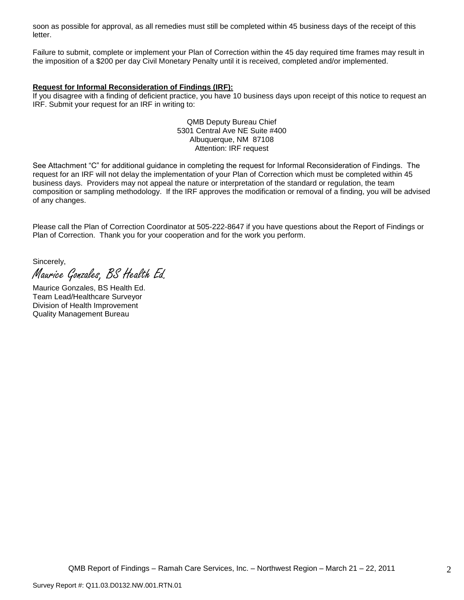soon as possible for approval, as all remedies must still be completed within 45 business days of the receipt of this letter.

Failure to submit, complete or implement your Plan of Correction within the 45 day required time frames may result in the imposition of a \$200 per day Civil Monetary Penalty until it is received, completed and/or implemented.

#### **Request for Informal Reconsideration of Findings (IRF):**

If you disagree with a finding of deficient practice, you have 10 business days upon receipt of this notice to request an IRF. Submit your request for an IRF in writing to:

> QMB Deputy Bureau Chief 5301 Central Ave NE Suite #400 Albuquerque, NM 87108 Attention: IRF request

See Attachment "C" for additional guidance in completing the request for Informal Reconsideration of Findings. The request for an IRF will not delay the implementation of your Plan of Correction which must be completed within 45 business days. Providers may not appeal the nature or interpretation of the standard or regulation, the team composition or sampling methodology. If the IRF approves the modification or removal of a finding, you will be advised of any changes.

Please call the Plan of Correction Coordinator at 505-222-8647 if you have questions about the Report of Findings or Plan of Correction. Thank you for your cooperation and for the work you perform.

Sincerely, Maurice Gonzales, BS Health Ed.

Maurice Gonzales, BS Health Ed. Team Lead/Healthcare Surveyor Division of Health Improvement Quality Management Bureau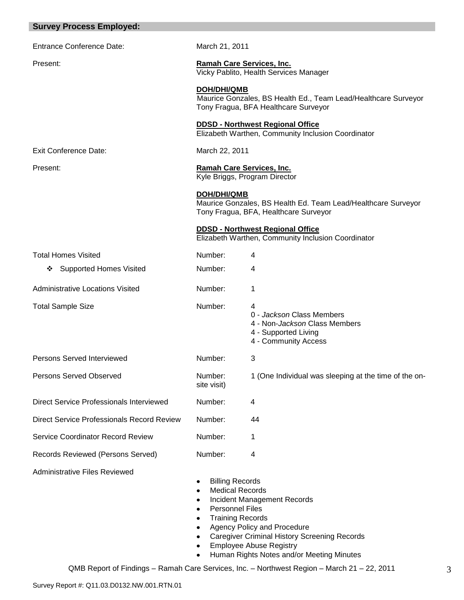| <b>Survey Process Employed:</b>            |                                                                                                                                          |                                                                                                                                                                                                  |
|--------------------------------------------|------------------------------------------------------------------------------------------------------------------------------------------|--------------------------------------------------------------------------------------------------------------------------------------------------------------------------------------------------|
| <b>Entrance Conference Date:</b>           | March 21, 2011                                                                                                                           |                                                                                                                                                                                                  |
| Present:                                   | Ramah Care Services, Inc.                                                                                                                | Vicky Pablito, Health Services Manager                                                                                                                                                           |
|                                            | <b>DOH/DHI/QMB</b>                                                                                                                       | Maurice Gonzales, BS Health Ed., Team Lead/Healthcare Surveyor<br>Tony Fragua, BFA Healthcare Surveyor                                                                                           |
|                                            |                                                                                                                                          | <b>DDSD - Northwest Regional Office</b><br>Elizabeth Warthen, Community Inclusion Coordinator                                                                                                    |
| Exit Conference Date:                      | March 22, 2011                                                                                                                           |                                                                                                                                                                                                  |
| Present:                                   | Ramah Care Services, Inc.<br>Kyle Briggs, Program Director                                                                               |                                                                                                                                                                                                  |
|                                            | <b>DOH/DHI/QMB</b>                                                                                                                       | Maurice Gonzales, BS Health Ed. Team Lead/Healthcare Surveyor<br>Tony Fragua, BFA, Healthcare Surveyor                                                                                           |
|                                            |                                                                                                                                          | <b>DDSD - Northwest Regional Office</b><br>Elizabeth Warthen, Community Inclusion Coordinator                                                                                                    |
| <b>Total Homes Visited</b>                 | Number:                                                                                                                                  | 4                                                                                                                                                                                                |
| <b>Supported Homes Visited</b><br>❖        | Number:                                                                                                                                  | 4                                                                                                                                                                                                |
| <b>Administrative Locations Visited</b>    | Number:                                                                                                                                  | 1                                                                                                                                                                                                |
| <b>Total Sample Size</b>                   | Number:                                                                                                                                  | 4<br>0 - Jackson Class Members<br>4 - Non- <i>Jackson</i> Class Members<br>4 - Supported Living<br>4 - Community Access                                                                          |
| Persons Served Interviewed                 | Number:                                                                                                                                  | 3                                                                                                                                                                                                |
| <b>Persons Served Observed</b>             | Number:<br>site visit)                                                                                                                   | 1 (One Individual was sleeping at the time of the on-                                                                                                                                            |
| Direct Service Professionals Interviewed   | Number:                                                                                                                                  | 4                                                                                                                                                                                                |
| Direct Service Professionals Record Review | Number:                                                                                                                                  | 44                                                                                                                                                                                               |
| <b>Service Coordinator Record Review</b>   | Number:                                                                                                                                  | 1                                                                                                                                                                                                |
| Records Reviewed (Persons Served)          | Number:                                                                                                                                  | 4                                                                                                                                                                                                |
| <b>Administrative Files Reviewed</b>       | <b>Billing Records</b><br>٠<br><b>Medical Records</b><br>٠<br>٠<br><b>Personnel Files</b><br>٠<br><b>Training Records</b><br>٠<br>٠<br>٠ | Incident Management Records<br>Agency Policy and Procedure<br><b>Caregiver Criminal History Screening Records</b><br><b>Employee Abuse Registry</b><br>Human Rights Notes and/or Meeting Minutes |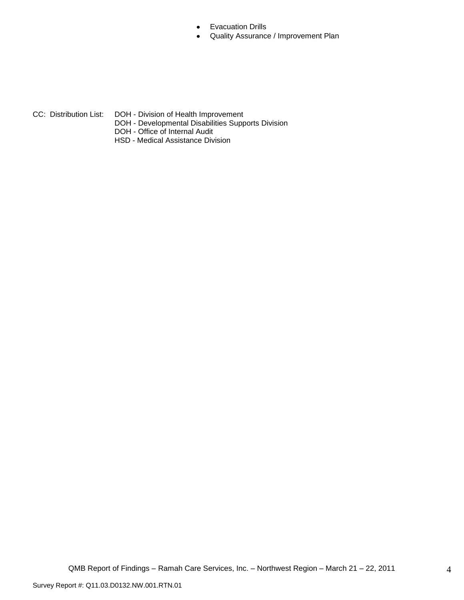- Evacuation Drills  $\bullet$
- Quality Assurance / Improvement Plan  $\bullet$

- 
- CC: Distribution List: DOH Division of Health Improvement
	- DOH Developmental Disabilities Supports Division
	- DOH Office of Internal Audit
	- HSD Medical Assistance Division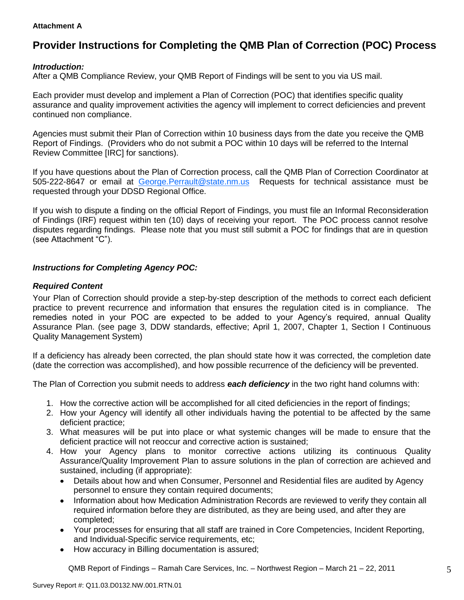## **Attachment A**

# **Provider Instructions for Completing the QMB Plan of Correction (POC) Process**

## *Introduction:*

After a QMB Compliance Review, your QMB Report of Findings will be sent to you via US mail.

Each provider must develop and implement a Plan of Correction (POC) that identifies specific quality assurance and quality improvement activities the agency will implement to correct deficiencies and prevent continued non compliance.

Agencies must submit their Plan of Correction within 10 business days from the date you receive the QMB Report of Findings. (Providers who do not submit a POC within 10 days will be referred to the Internal Review Committee [IRC] for sanctions).

If you have questions about the Plan of Correction process, call the QMB Plan of Correction Coordinator at 505-222-8647 or email at George.Perrault@state.nm.us Requests for technical assistance must be requested through your DDSD Regional Office.

If you wish to dispute a finding on the official Report of Findings, you must file an Informal Reconsideration of Findings (IRF) request within ten (10) days of receiving your report. The POC process cannot resolve disputes regarding findings. Please note that you must still submit a POC for findings that are in question (see Attachment "C").

## *Instructions for Completing Agency POC:*

## *Required Content*

Your Plan of Correction should provide a step-by-step description of the methods to correct each deficient practice to prevent recurrence and information that ensures the regulation cited is in compliance. The remedies noted in your POC are expected to be added to your Agency"s required, annual Quality Assurance Plan. (see page 3, DDW standards, effective; April 1, 2007, Chapter 1, Section I Continuous Quality Management System)

If a deficiency has already been corrected, the plan should state how it was corrected, the completion date (date the correction was accomplished), and how possible recurrence of the deficiency will be prevented.

The Plan of Correction you submit needs to address *each deficiency* in the two right hand columns with:

- 1. How the corrective action will be accomplished for all cited deficiencies in the report of findings;
- 2. How your Agency will identify all other individuals having the potential to be affected by the same deficient practice;
- 3. What measures will be put into place or what systemic changes will be made to ensure that the deficient practice will not reoccur and corrective action is sustained;
- 4. How your Agency plans to monitor corrective actions utilizing its continuous Quality Assurance/Quality Improvement Plan to assure solutions in the plan of correction are achieved and sustained, including (if appropriate):
	- Details about how and when Consumer, Personnel and Residential files are audited by Agency  $\bullet$ personnel to ensure they contain required documents;
	- Information about how Medication Administration Records are reviewed to verify they contain all  $\bullet$ required information before they are distributed, as they are being used, and after they are completed;
	- Your processes for ensuring that all staff are trained in Core Competencies, Incident Reporting, and Individual-Specific service requirements, etc;
	- How accuracy in Billing documentation is assured;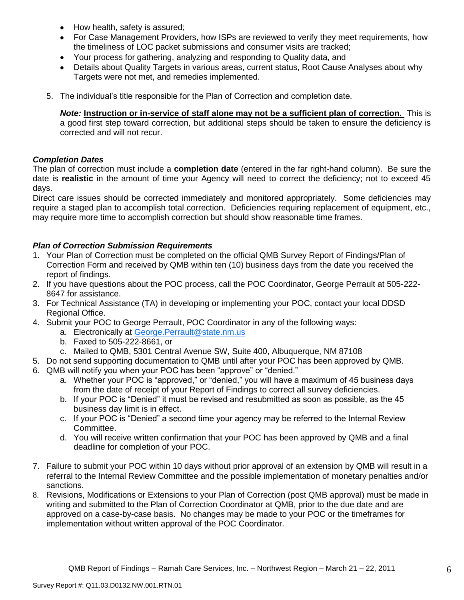- How health, safety is assured;  $\bullet$
- For Case Management Providers, how ISPs are reviewed to verify they meet requirements, how the timeliness of LOC packet submissions and consumer visits are tracked;
- $\bullet$ Your process for gathering, analyzing and responding to Quality data, and
- Details about Quality Targets in various areas, current status, Root Cause Analyses about why Targets were not met, and remedies implemented.
- 5. The individual"s title responsible for the Plan of Correction and completion date.

*Note:* **Instruction or in-service of staff alone may not be a sufficient plan of correction.** This is a good first step toward correction, but additional steps should be taken to ensure the deficiency is corrected and will not recur.

## *Completion Dates*

The plan of correction must include a **completion date** (entered in the far right-hand column). Be sure the date is **realistic** in the amount of time your Agency will need to correct the deficiency; not to exceed 45 days.

Direct care issues should be corrected immediately and monitored appropriately. Some deficiencies may require a staged plan to accomplish total correction. Deficiencies requiring replacement of equipment, etc., may require more time to accomplish correction but should show reasonable time frames.

## *Plan of Correction Submission Requirements*

- 1. Your Plan of Correction must be completed on the official QMB Survey Report of Findings/Plan of Correction Form and received by QMB within ten (10) business days from the date you received the report of findings.
- 2. If you have questions about the POC process, call the POC Coordinator, George Perrault at 505-222- 8647 for assistance.
- 3. For Technical Assistance (TA) in developing or implementing your POC, contact your local DDSD Regional Office.
- 4. Submit your POC to George Perrault, POC Coordinator in any of the following ways:
	- a. Electronically at [George.Perrault@state.nm.us](mailto:George.Perrault@state.nm.us)
	- b. Faxed to 505-222-8661, or
	- c. Mailed to QMB, 5301 Central Avenue SW, Suite 400, Albuquerque, NM 87108
- 5. Do not send supporting documentation to QMB until after your POC has been approved by QMB.
- 6. QMB will notify you when your POC has been "approve" or "denied."
	- a. Whether your POC is "approved," or "denied," you will have a maximum of 45 business days from the date of receipt of your Report of Findings to correct all survey deficiencies.
	- b. If your POC is "Denied" it must be revised and resubmitted as soon as possible, as the 45 business day limit is in effect.
	- c. If your POC is "Denied" a second time your agency may be referred to the Internal Review Committee.
	- d. You will receive written confirmation that your POC has been approved by QMB and a final deadline for completion of your POC.
- 7. Failure to submit your POC within 10 days without prior approval of an extension by QMB will result in a referral to the Internal Review Committee and the possible implementation of monetary penalties and/or sanctions.
- 8. Revisions, Modifications or Extensions to your Plan of Correction (post QMB approval) must be made in writing and submitted to the Plan of Correction Coordinator at QMB, prior to the due date and are approved on a case-by-case basis. No changes may be made to your POC or the timeframes for implementation without written approval of the POC Coordinator.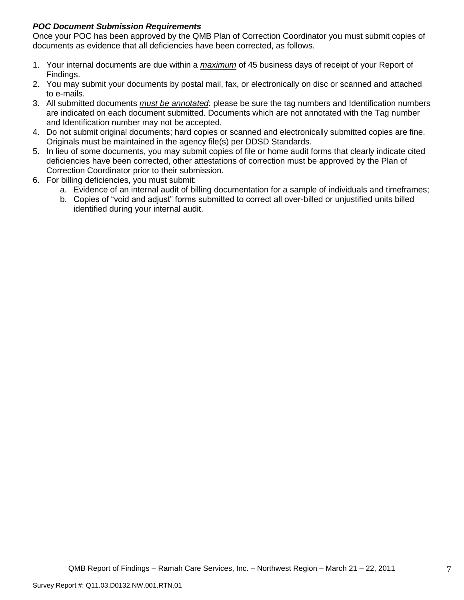## *POC Document Submission Requirements*

Once your POC has been approved by the QMB Plan of Correction Coordinator you must submit copies of documents as evidence that all deficiencies have been corrected, as follows.

- 1. Your internal documents are due within a *maximum* of 45 business days of receipt of your Report of Findings.
- 2. You may submit your documents by postal mail, fax, or electronically on disc or scanned and attached to e-mails.
- 3. All submitted documents *must be annotated*: please be sure the tag numbers and Identification numbers are indicated on each document submitted. Documents which are not annotated with the Tag number and Identification number may not be accepted.
- 4. Do not submit original documents; hard copies or scanned and electronically submitted copies are fine. Originals must be maintained in the agency file(s) per DDSD Standards.
- 5. In lieu of some documents, you may submit copies of file or home audit forms that clearly indicate cited deficiencies have been corrected, other attestations of correction must be approved by the Plan of Correction Coordinator prior to their submission.
- 6. For billing deficiencies, you must submit:
	- a. Evidence of an internal audit of billing documentation for a sample of individuals and timeframes;
	- b. Copies of "void and adjust" forms submitted to correct all over-billed or unjustified units billed identified during your internal audit.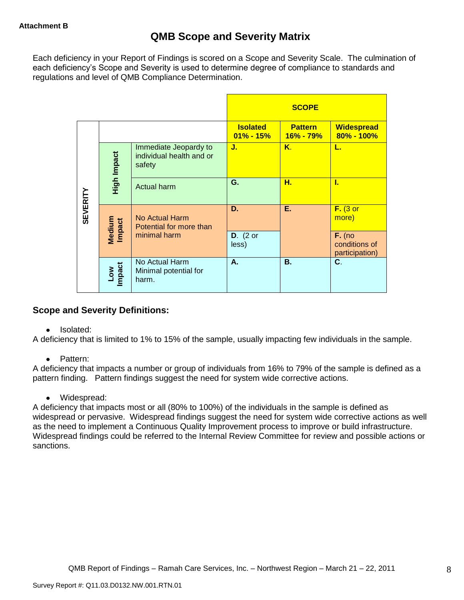Each deficiency in your Report of Findings is scored on a Scope and Severity Scale. The culmination of each deficiency"s Scope and Severity is used to determine degree of compliance to standards and regulations and level of QMB Compliance Determination.

|                 |                      |                                                             |                                  | <b>SCOPE</b>                    |                                             |
|-----------------|----------------------|-------------------------------------------------------------|----------------------------------|---------------------------------|---------------------------------------------|
|                 |                      |                                                             | <b>Isolated</b><br>$01\% - 15\%$ | <b>Pattern</b><br>$16\% - 79\%$ | <b>Widespread</b><br>$80\% - 100\%$         |
|                 | High Impact          | Immediate Jeopardy to<br>individual health and or<br>safety | J.                               | K.                              | L.                                          |
|                 |                      | Actual harm                                                 | G.                               | н.                              | L                                           |
| <b>SEVERITY</b> | Medium<br>Impact     | No Actual Harm<br>Potential for more than                   | D.                               | Ε.                              | $F.$ (3 or<br>more)                         |
|                 |                      | minimal harm                                                | $D.$ (2 or<br>less)              |                                 | $F.$ (no<br>conditions of<br>participation) |
|                 | <b>Impact</b><br>Low | No Actual Harm<br>Minimal potential for<br>harm.            | А.                               | <b>B.</b>                       | C.                                          |

## **Scope and Severity Definitions:**

• Isolated:

A deficiency that is limited to 1% to 15% of the sample, usually impacting few individuals in the sample.

• Pattern:

A deficiency that impacts a number or group of individuals from 16% to 79% of the sample is defined as a pattern finding. Pattern findings suggest the need for system wide corrective actions.

• Widespread:

A deficiency that impacts most or all (80% to 100%) of the individuals in the sample is defined as widespread or pervasive. Widespread findings suggest the need for system wide corrective actions as well as the need to implement a Continuous Quality Improvement process to improve or build infrastructure. Widespread findings could be referred to the Internal Review Committee for review and possible actions or sanctions.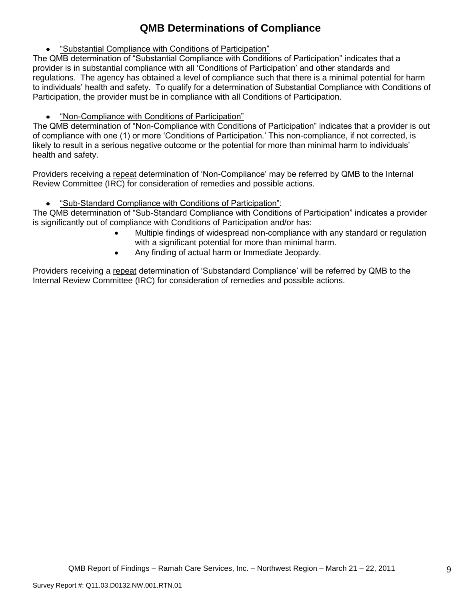# **QMB Determinations of Compliance**

"Substantial Compliance with Conditions of Participation"

The QMB determination of "Substantial Compliance with Conditions of Participation" indicates that a provider is in substantial compliance with all "Conditions of Participation" and other standards and regulations. The agency has obtained a level of compliance such that there is a minimal potential for harm to individuals" health and safety. To qualify for a determination of Substantial Compliance with Conditions of Participation, the provider must be in compliance with all Conditions of Participation.

"Non-Compliance with Conditions of Participation"

The QMB determination of "Non-Compliance with Conditions of Participation" indicates that a provider is out of compliance with one (1) or more "Conditions of Participation." This non-compliance, if not corrected, is likely to result in a serious negative outcome or the potential for more than minimal harm to individuals" health and safety.

Providers receiving a repeat determination of 'Non-Compliance' may be referred by QMB to the Internal Review Committee (IRC) for consideration of remedies and possible actions.

 $\bullet$ "Sub-Standard Compliance with Conditions of Participation":

The QMB determination of "Sub-Standard Compliance with Conditions of Participation" indicates a provider is significantly out of compliance with Conditions of Participation and/or has:

- Multiple findings of widespread non-compliance with any standard or regulation with a significant potential for more than minimal harm.
- Any finding of actual harm or Immediate Jeopardy.

Providers receiving a repeat determination of 'Substandard Compliance' will be referred by QMB to the Internal Review Committee (IRC) for consideration of remedies and possible actions.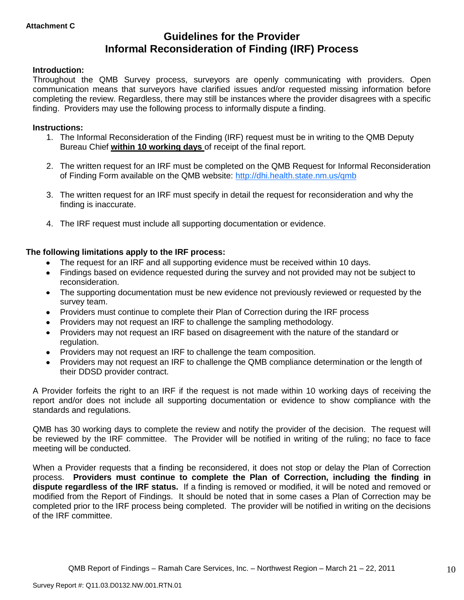# **Guidelines for the Provider Informal Reconsideration of Finding (IRF) Process**

## **Introduction:**

Throughout the QMB Survey process, surveyors are openly communicating with providers. Open communication means that surveyors have clarified issues and/or requested missing information before completing the review. Regardless, there may still be instances where the provider disagrees with a specific finding. Providers may use the following process to informally dispute a finding.

## **Instructions:**

- 1. The Informal Reconsideration of the Finding (IRF) request must be in writing to the QMB Deputy Bureau Chief **within 10 working days** of receipt of the final report.
- 2. The written request for an IRF must be completed on the QMB Request for Informal Reconsideration of Finding Form available on the QMB website:<http://dhi.health.state.nm.us/qmb>
- 3. The written request for an IRF must specify in detail the request for reconsideration and why the finding is inaccurate.
- 4. The IRF request must include all supporting documentation or evidence.

## **The following limitations apply to the IRF process:**

- The request for an IRF and all supporting evidence must be received within 10 days.
- Findings based on evidence requested during the survey and not provided may not be subject to reconsideration.
- The supporting documentation must be new evidence not previously reviewed or requested by the survey team.
- Providers must continue to complete their Plan of Correction during the IRF process  $\bullet$
- Providers may not request an IRF to challenge the sampling methodology.
- Providers may not request an IRF based on disagreement with the nature of the standard or  $\bullet$ regulation.
- Providers may not request an IRF to challenge the team composition.
- Providers may not request an IRF to challenge the QMB compliance determination or the length of  $\bullet$ their DDSD provider contract.

A Provider forfeits the right to an IRF if the request is not made within 10 working days of receiving the report and/or does not include all supporting documentation or evidence to show compliance with the standards and regulations.

QMB has 30 working days to complete the review and notify the provider of the decision. The request will be reviewed by the IRF committee. The Provider will be notified in writing of the ruling; no face to face meeting will be conducted.

When a Provider requests that a finding be reconsidered, it does not stop or delay the Plan of Correction process. **Providers must continue to complete the Plan of Correction, including the finding in dispute regardless of the IRF status.** If a finding is removed or modified, it will be noted and removed or modified from the Report of Findings. It should be noted that in some cases a Plan of Correction may be completed prior to the IRF process being completed. The provider will be notified in writing on the decisions of the IRF committee.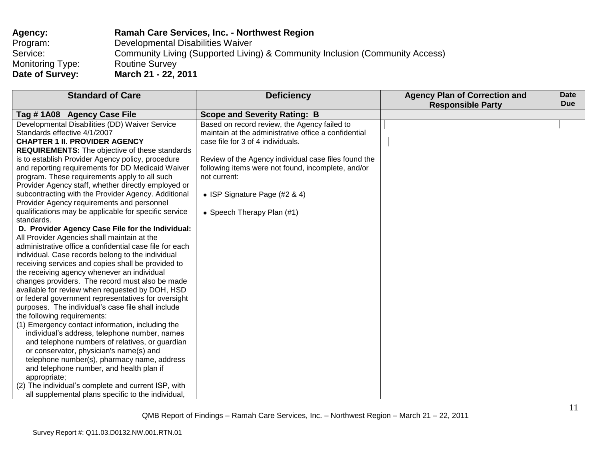| Agency:          | <b>Ramah Care Services, Inc. - Northwest Region</b>                          |
|------------------|------------------------------------------------------------------------------|
| Program:         | Developmental Disabilities Waiver                                            |
| Service:         | Community Living (Supported Living) & Community Inclusion (Community Access) |
| Monitoring Type: | <b>Routine Survey</b>                                                        |
| Date of Survey:  | March 21 - 22, 2011                                                          |

| <b>Standard of Care</b>                                                                        | <b>Deficiency</b>                                    | <b>Agency Plan of Correction and</b><br><b>Responsible Party</b> | <b>Date</b><br><b>Due</b> |
|------------------------------------------------------------------------------------------------|------------------------------------------------------|------------------------------------------------------------------|---------------------------|
| Tag #1A08 Agency Case File                                                                     | <b>Scope and Severity Rating: B</b>                  |                                                                  |                           |
| Developmental Disabilities (DD) Waiver Service                                                 | Based on record review, the Agency failed to         |                                                                  |                           |
| Standards effective 4/1/2007                                                                   | maintain at the administrative office a confidential |                                                                  |                           |
| <b>CHAPTER 1 II. PROVIDER AGENCY</b>                                                           | case file for 3 of 4 individuals.                    |                                                                  |                           |
| <b>REQUIREMENTS:</b> The objective of these standards                                          |                                                      |                                                                  |                           |
| is to establish Provider Agency policy, procedure                                              | Review of the Agency individual case files found the |                                                                  |                           |
| and reporting requirements for DD Medicaid Waiver                                              | following items were not found, incomplete, and/or   |                                                                  |                           |
| program. These requirements apply to all such                                                  | not current:                                         |                                                                  |                           |
| Provider Agency staff, whether directly employed or                                            |                                                      |                                                                  |                           |
| subcontracting with the Provider Agency. Additional                                            | • ISP Signature Page (#2 & 4)                        |                                                                  |                           |
| Provider Agency requirements and personnel                                                     |                                                      |                                                                  |                           |
| qualifications may be applicable for specific service                                          | • Speech Therapy Plan (#1)                           |                                                                  |                           |
| standards.                                                                                     |                                                      |                                                                  |                           |
| D. Provider Agency Case File for the Individual:                                               |                                                      |                                                                  |                           |
| All Provider Agencies shall maintain at the                                                    |                                                      |                                                                  |                           |
| administrative office a confidential case file for each                                        |                                                      |                                                                  |                           |
| individual. Case records belong to the individual                                              |                                                      |                                                                  |                           |
| receiving services and copies shall be provided to                                             |                                                      |                                                                  |                           |
| the receiving agency whenever an individual<br>changes providers. The record must also be made |                                                      |                                                                  |                           |
| available for review when requested by DOH, HSD                                                |                                                      |                                                                  |                           |
| or federal government representatives for oversight                                            |                                                      |                                                                  |                           |
| purposes. The individual's case file shall include                                             |                                                      |                                                                  |                           |
| the following requirements:                                                                    |                                                      |                                                                  |                           |
| (1) Emergency contact information, including the                                               |                                                      |                                                                  |                           |
| individual's address, telephone number, names                                                  |                                                      |                                                                  |                           |
| and telephone numbers of relatives, or guardian                                                |                                                      |                                                                  |                           |
| or conservator, physician's name(s) and                                                        |                                                      |                                                                  |                           |
| telephone number(s), pharmacy name, address                                                    |                                                      |                                                                  |                           |
| and telephone number, and health plan if                                                       |                                                      |                                                                  |                           |
| appropriate;                                                                                   |                                                      |                                                                  |                           |
| (2) The individual's complete and current ISP, with                                            |                                                      |                                                                  |                           |
| all supplemental plans specific to the individual,                                             |                                                      |                                                                  |                           |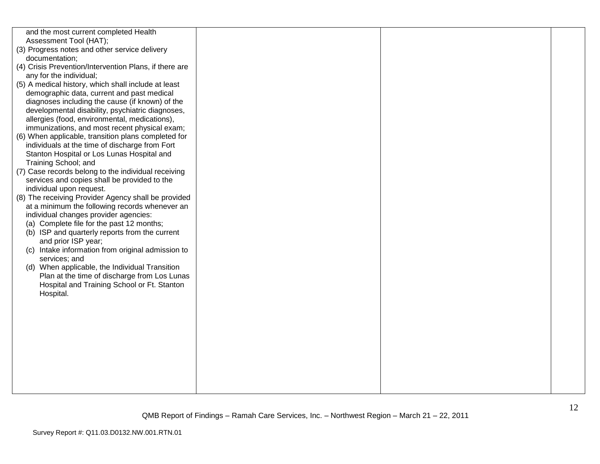| and the most current completed Health<br>Assessment Tool (HAT);<br>(3) Progress notes and other service delivery<br>documentation;<br>(4) Crisis Prevention/Intervention Plans, if there are<br>any for the individual;<br>(5) A medical history, which shall include at least<br>demographic data, current and past medical<br>diagnoses including the cause (if known) of the<br>developmental disability, psychiatric diagnoses,<br>allergies (food, environmental, medications),<br>immunizations, and most recent physical exam;<br>(6) When applicable, transition plans completed for<br>individuals at the time of discharge from Fort<br>Stanton Hospital or Los Lunas Hospital and<br>Training School; and<br>(7) Case records belong to the individual receiving<br>services and copies shall be provided to the<br>individual upon request.<br>(8) The receiving Provider Agency shall be provided<br>at a minimum the following records whenever an<br>individual changes provider agencies:<br>(a) Complete file for the past 12 months;<br>(b) ISP and quarterly reports from the current<br>and prior ISP year;<br>(c) Intake information from original admission to<br>services; and<br>(d) When applicable, the Individual Transition<br>Plan at the time of discharge from Los Lunas<br>Hospital and Training School or Ft. Stanton<br>Hospital. |  |  |
|---------------------------------------------------------------------------------------------------------------------------------------------------------------------------------------------------------------------------------------------------------------------------------------------------------------------------------------------------------------------------------------------------------------------------------------------------------------------------------------------------------------------------------------------------------------------------------------------------------------------------------------------------------------------------------------------------------------------------------------------------------------------------------------------------------------------------------------------------------------------------------------------------------------------------------------------------------------------------------------------------------------------------------------------------------------------------------------------------------------------------------------------------------------------------------------------------------------------------------------------------------------------------------------------------------------------------------------------------------------------|--|--|
|                                                                                                                                                                                                                                                                                                                                                                                                                                                                                                                                                                                                                                                                                                                                                                                                                                                                                                                                                                                                                                                                                                                                                                                                                                                                                                                                                                     |  |  |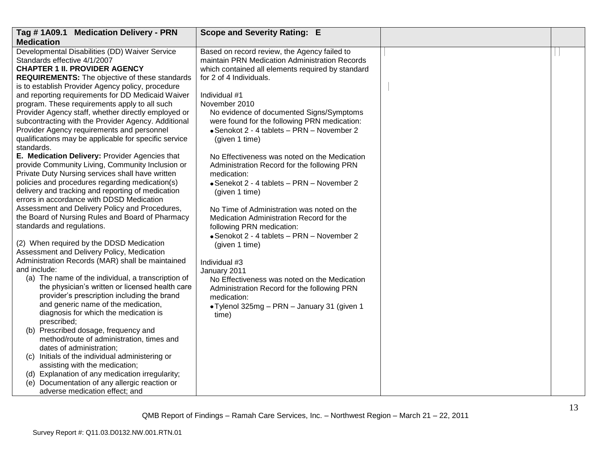| Tag #1A09.1 Medication Delivery - PRN                                                               | <b>Scope and Severity Rating: E</b>                        |  |
|-----------------------------------------------------------------------------------------------------|------------------------------------------------------------|--|
| <b>Medication</b>                                                                                   |                                                            |  |
| Developmental Disabilities (DD) Waiver Service                                                      | Based on record review, the Agency failed to               |  |
| Standards effective 4/1/2007                                                                        | maintain PRN Medication Administration Records             |  |
| <b>CHAPTER 1 II. PROVIDER AGENCY</b>                                                                | which contained all elements required by standard          |  |
| REQUIREMENTS: The objective of these standards                                                      | for 2 of 4 Individuals.                                    |  |
| is to establish Provider Agency policy, procedure                                                   |                                                            |  |
| and reporting requirements for DD Medicaid Waiver                                                   | Individual #1                                              |  |
| program. These requirements apply to all such                                                       | November 2010                                              |  |
| Provider Agency staff, whether directly employed or                                                 | No evidence of documented Signs/Symptoms                   |  |
| subcontracting with the Provider Agency. Additional                                                 | were found for the following PRN medication:               |  |
| Provider Agency requirements and personnel<br>qualifications may be applicable for specific service | • Senokot 2 - 4 tablets - PRN - November 2                 |  |
| standards.                                                                                          | (given 1 time)                                             |  |
| E. Medication Delivery: Provider Agencies that                                                      | No Effectiveness was noted on the Medication               |  |
| provide Community Living, Community Inclusion or                                                    | Administration Record for the following PRN                |  |
| Private Duty Nursing services shall have written                                                    | medication:                                                |  |
| policies and procedures regarding medication(s)                                                     | • Senekot 2 - 4 tablets - PRN - November 2                 |  |
| delivery and tracking and reporting of medication                                                   | (given 1 time)                                             |  |
| errors in accordance with DDSD Medication                                                           |                                                            |  |
| Assessment and Delivery Policy and Procedures,                                                      | No Time of Administration was noted on the                 |  |
| the Board of Nursing Rules and Board of Pharmacy                                                    | Medication Administration Record for the                   |  |
| standards and regulations.                                                                          | following PRN medication:                                  |  |
|                                                                                                     | • Senokot 2 - 4 tablets - PRN - November 2                 |  |
| (2) When required by the DDSD Medication                                                            | (given 1 time)                                             |  |
| Assessment and Delivery Policy, Medication                                                          |                                                            |  |
| Administration Records (MAR) shall be maintained                                                    | Individual #3                                              |  |
| and include:<br>(a) The name of the individual, a transcription of                                  | January 2011                                               |  |
| the physician's written or licensed health care                                                     | No Effectiveness was noted on the Medication               |  |
| provider's prescription including the brand                                                         | Administration Record for the following PRN<br>medication: |  |
| and generic name of the medication,                                                                 |                                                            |  |
| diagnosis for which the medication is                                                               | • Tylenol 325mg - PRN - January 31 (given 1<br>time)       |  |
| prescribed;                                                                                         |                                                            |  |
| (b) Prescribed dosage, frequency and                                                                |                                                            |  |
| method/route of administration, times and                                                           |                                                            |  |
| dates of administration;                                                                            |                                                            |  |
| (c) Initials of the individual administering or                                                     |                                                            |  |
| assisting with the medication;                                                                      |                                                            |  |
| (d) Explanation of any medication irregularity;                                                     |                                                            |  |
| (e) Documentation of any allergic reaction or                                                       |                                                            |  |
| adverse medication effect; and                                                                      |                                                            |  |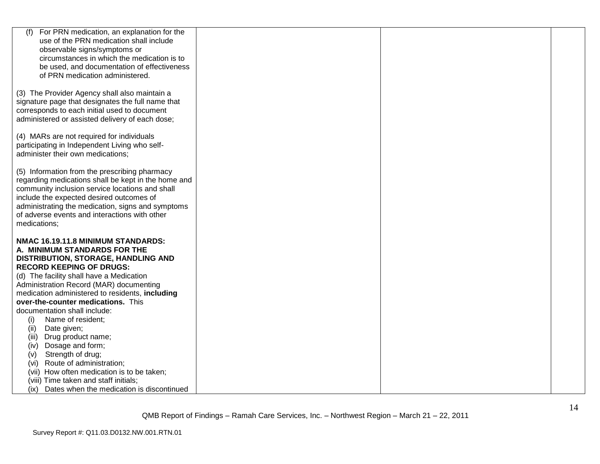| (f)<br>For PRN medication, an explanation for the                           |  |  |
|-----------------------------------------------------------------------------|--|--|
| use of the PRN medication shall include                                     |  |  |
| observable signs/symptoms or<br>circumstances in which the medication is to |  |  |
| be used, and documentation of effectiveness                                 |  |  |
| of PRN medication administered.                                             |  |  |
|                                                                             |  |  |
| (3) The Provider Agency shall also maintain a                               |  |  |
| signature page that designates the full name that                           |  |  |
| corresponds to each initial used to document                                |  |  |
| administered or assisted delivery of each dose;                             |  |  |
|                                                                             |  |  |
| (4) MARs are not required for individuals                                   |  |  |
| participating in Independent Living who self-                               |  |  |
| administer their own medications;                                           |  |  |
| (5) Information from the prescribing pharmacy                               |  |  |
| regarding medications shall be kept in the home and                         |  |  |
| community inclusion service locations and shall                             |  |  |
| include the expected desired outcomes of                                    |  |  |
| administrating the medication, signs and symptoms                           |  |  |
| of adverse events and interactions with other                               |  |  |
| medications;                                                                |  |  |
|                                                                             |  |  |
| NMAC 16.19.11.8 MINIMUM STANDARDS:                                          |  |  |
| A. MINIMUM STANDARDS FOR THE                                                |  |  |
| DISTRIBUTION, STORAGE, HANDLING AND<br><b>RECORD KEEPING OF DRUGS:</b>      |  |  |
| (d) The facility shall have a Medication                                    |  |  |
| Administration Record (MAR) documenting                                     |  |  |
| medication administered to residents, including                             |  |  |
| over-the-counter medications. This                                          |  |  |
| documentation shall include:                                                |  |  |
| (i)<br>Name of resident;                                                    |  |  |
| Date given;<br>(ii)                                                         |  |  |
| Drug product name;<br>(iii)                                                 |  |  |
| Dosage and form;<br>(iv)                                                    |  |  |
| Strength of drug;<br>(V)                                                    |  |  |
| (vi) Route of administration;                                               |  |  |
| (vii) How often medication is to be taken;                                  |  |  |
| (viii) Time taken and staff initials;                                       |  |  |
| Dates when the medication is discontinued<br>(ix)                           |  |  |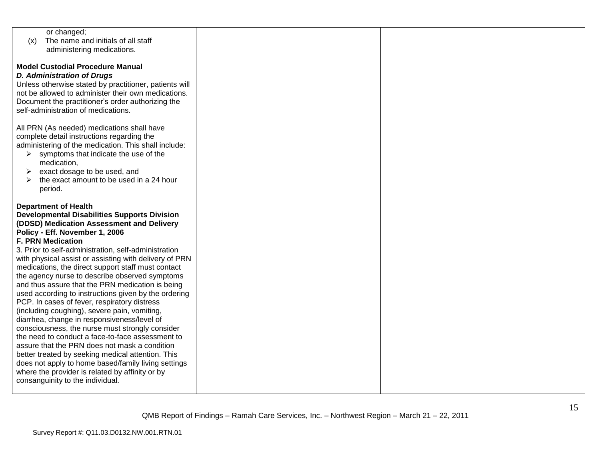| or changed;                                            |  |  |
|--------------------------------------------------------|--|--|
| The name and initials of all staff<br>(x)              |  |  |
| administering medications.                             |  |  |
|                                                        |  |  |
| <b>Model Custodial Procedure Manual</b>                |  |  |
|                                                        |  |  |
| <b>D. Administration of Drugs</b>                      |  |  |
| Unless otherwise stated by practitioner, patients will |  |  |
| not be allowed to administer their own medications.    |  |  |
| Document the practitioner's order authorizing the      |  |  |
| self-administration of medications.                    |  |  |
|                                                        |  |  |
| All PRN (As needed) medications shall have             |  |  |
| complete detail instructions regarding the             |  |  |
| administering of the medication. This shall include:   |  |  |
| symptoms that indicate the use of the<br>➤             |  |  |
| medication,                                            |  |  |
| exact dosage to be used, and<br>➤                      |  |  |
| the exact amount to be used in a 24 hour               |  |  |
|                                                        |  |  |
| period.                                                |  |  |
|                                                        |  |  |
| <b>Department of Health</b>                            |  |  |
| <b>Developmental Disabilities Supports Division</b>    |  |  |
| (DDSD) Medication Assessment and Delivery              |  |  |
| Policy - Eff. November 1, 2006                         |  |  |
| <b>F. PRN Medication</b>                               |  |  |
| 3. Prior to self-administration, self-administration   |  |  |
| with physical assist or assisting with delivery of PRN |  |  |
| medications, the direct support staff must contact     |  |  |
| the agency nurse to describe observed symptoms         |  |  |
| and thus assure that the PRN medication is being       |  |  |
| used according to instructions given by the ordering   |  |  |
| PCP. In cases of fever, respiratory distress           |  |  |
| (including coughing), severe pain, vomiting,           |  |  |
| diarrhea, change in responsiveness/level of            |  |  |
| consciousness, the nurse must strongly consider        |  |  |
| the need to conduct a face-to-face assessment to       |  |  |
| assure that the PRN does not mask a condition          |  |  |
|                                                        |  |  |
| better treated by seeking medical attention. This      |  |  |
| does not apply to home based/family living settings    |  |  |
| where the provider is related by affinity or by        |  |  |
| consanguinity to the individual.                       |  |  |
|                                                        |  |  |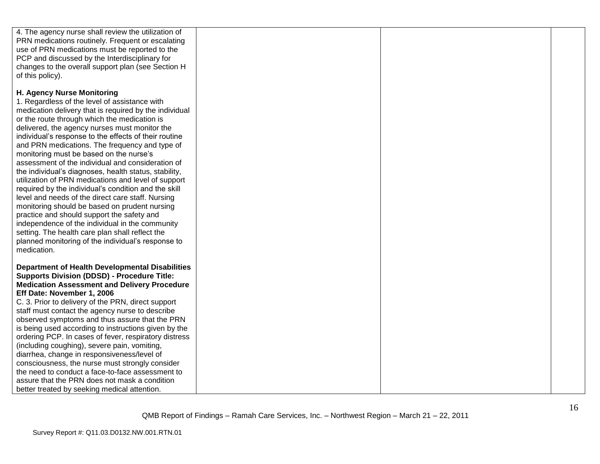| 4. The agency nurse shall review the utilization of    |  |  |
|--------------------------------------------------------|--|--|
| PRN medications routinely. Frequent or escalating      |  |  |
| use of PRN medications must be reported to the         |  |  |
| PCP and discussed by the Interdisciplinary for         |  |  |
| changes to the overall support plan (see Section H     |  |  |
| of this policy).                                       |  |  |
|                                                        |  |  |
| H. Agency Nurse Monitoring                             |  |  |
| 1. Regardless of the level of assistance with          |  |  |
| medication delivery that is required by the individual |  |  |
| or the route through which the medication is           |  |  |
| delivered, the agency nurses must monitor the          |  |  |
|                                                        |  |  |
| individual's response to the effects of their routine  |  |  |
| and PRN medications. The frequency and type of         |  |  |
| monitoring must be based on the nurse's                |  |  |
| assessment of the individual and consideration of      |  |  |
| the individual's diagnoses, health status, stability,  |  |  |
| utilization of PRN medications and level of support    |  |  |
| required by the individual's condition and the skill   |  |  |
| level and needs of the direct care staff. Nursing      |  |  |
| monitoring should be based on prudent nursing          |  |  |
| practice and should support the safety and             |  |  |
| independence of the individual in the community        |  |  |
| setting. The health care plan shall reflect the        |  |  |
| planned monitoring of the individual's response to     |  |  |
| medication.                                            |  |  |
|                                                        |  |  |
| <b>Department of Health Developmental Disabilities</b> |  |  |
| <b>Supports Division (DDSD) - Procedure Title:</b>     |  |  |
| <b>Medication Assessment and Delivery Procedure</b>    |  |  |
| Eff Date: November 1, 2006                             |  |  |
| C. 3. Prior to delivery of the PRN, direct support     |  |  |
| staff must contact the agency nurse to describe        |  |  |
| observed symptoms and thus assure that the PRN         |  |  |
| is being used according to instructions given by the   |  |  |
| ordering PCP. In cases of fever, respiratory distress  |  |  |
| (including coughing), severe pain, vomiting,           |  |  |
| diarrhea, change in responsiveness/level of            |  |  |
| consciousness, the nurse must strongly consider        |  |  |
| the need to conduct a face-to-face assessment to       |  |  |
| assure that the PRN does not mask a condition          |  |  |
| better treated by seeking medical attention.           |  |  |
|                                                        |  |  |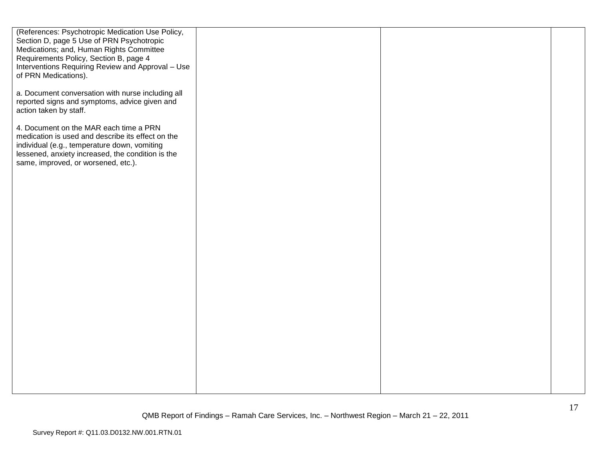| (References: Psychotropic Medication Use Policy,<br>Section D, page 5 Use of PRN Psychotropic<br>Medications; and, Human Rights Committee<br>Requirements Policy, Section B, page 4<br>Interventions Requiring Review and Approval - Use<br>of PRN Medications). |  |  |
|------------------------------------------------------------------------------------------------------------------------------------------------------------------------------------------------------------------------------------------------------------------|--|--|
| a. Document conversation with nurse including all<br>reported signs and symptoms, advice given and<br>action taken by staff.                                                                                                                                     |  |  |
| 4. Document on the MAR each time a PRN<br>medication is used and describe its effect on the<br>individual (e.g., temperature down, vomiting<br>lessened, anxiety increased, the condition is the<br>same, improved, or worsened, etc.).                          |  |  |
|                                                                                                                                                                                                                                                                  |  |  |
|                                                                                                                                                                                                                                                                  |  |  |
|                                                                                                                                                                                                                                                                  |  |  |
|                                                                                                                                                                                                                                                                  |  |  |
|                                                                                                                                                                                                                                                                  |  |  |
|                                                                                                                                                                                                                                                                  |  |  |
|                                                                                                                                                                                                                                                                  |  |  |
|                                                                                                                                                                                                                                                                  |  |  |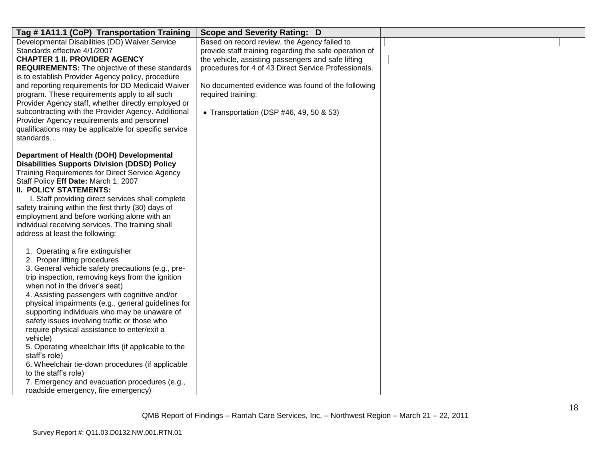| Tag #1A11.1 (CoP) Transportation Training                                                                  | <b>Scope and Severity Rating: D</b>                    |  |
|------------------------------------------------------------------------------------------------------------|--------------------------------------------------------|--|
| Developmental Disabilities (DD) Waiver Service                                                             | Based on record review, the Agency failed to           |  |
| Standards effective 4/1/2007                                                                               | provide staff training regarding the safe operation of |  |
| <b>CHAPTER 1 II. PROVIDER AGENCY</b>                                                                       | the vehicle, assisting passengers and safe lifting     |  |
| <b>REQUIREMENTS:</b> The objective of these standards                                                      | procedures for 4 of 43 Direct Service Professionals.   |  |
| is to establish Provider Agency policy, procedure                                                          |                                                        |  |
| and reporting requirements for DD Medicaid Waiver                                                          | No documented evidence was found of the following      |  |
| program. These requirements apply to all such                                                              | required training:                                     |  |
| Provider Agency staff, whether directly employed or<br>subcontracting with the Provider Agency. Additional |                                                        |  |
| Provider Agency requirements and personnel                                                                 | • Transportation (DSP #46, 49, 50 & 53)                |  |
| qualifications may be applicable for specific service                                                      |                                                        |  |
| standards                                                                                                  |                                                        |  |
|                                                                                                            |                                                        |  |
| Department of Health (DOH) Developmental                                                                   |                                                        |  |
| <b>Disabilities Supports Division (DDSD) Policy</b>                                                        |                                                        |  |
| <b>Training Requirements for Direct Service Agency</b>                                                     |                                                        |  |
| Staff Policy Eff Date: March 1, 2007                                                                       |                                                        |  |
| <b>II. POLICY STATEMENTS:</b>                                                                              |                                                        |  |
| I. Staff providing direct services shall complete                                                          |                                                        |  |
| safety training within the first thirty (30) days of                                                       |                                                        |  |
| employment and before working alone with an                                                                |                                                        |  |
| individual receiving services. The training shall                                                          |                                                        |  |
| address at least the following:                                                                            |                                                        |  |
| 1. Operating a fire extinguisher                                                                           |                                                        |  |
| 2. Proper lifting procedures                                                                               |                                                        |  |
| 3. General vehicle safety precautions (e.g., pre-                                                          |                                                        |  |
| trip inspection, removing keys from the ignition                                                           |                                                        |  |
| when not in the driver's seat)                                                                             |                                                        |  |
| 4. Assisting passengers with cognitive and/or                                                              |                                                        |  |
| physical impairments (e.g., general guidelines for                                                         |                                                        |  |
| supporting individuals who may be unaware of                                                               |                                                        |  |
| safety issues involving traffic or those who                                                               |                                                        |  |
| require physical assistance to enter/exit a                                                                |                                                        |  |
| vehicle)<br>5. Operating wheelchair lifts (if applicable to the                                            |                                                        |  |
| staff's role)                                                                                              |                                                        |  |
| 6. Wheelchair tie-down procedures (if applicable                                                           |                                                        |  |
| to the staff's role)                                                                                       |                                                        |  |
| 7. Emergency and evacuation procedures (e.g.,                                                              |                                                        |  |
| roadside emergency, fire emergency)                                                                        |                                                        |  |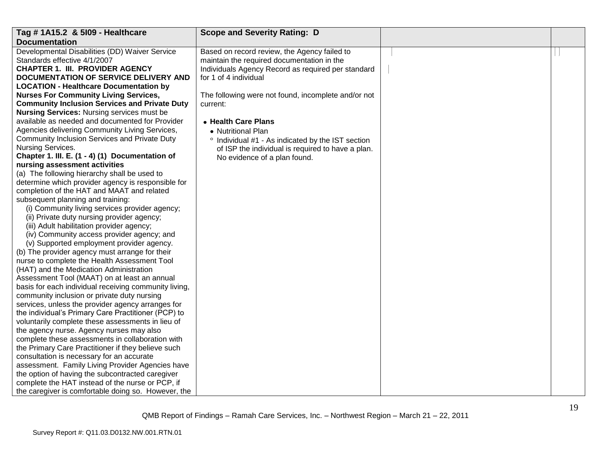| Tag # 1A15.2 & 5109 - Healthcare                      | <b>Scope and Severity Rating: D</b>                 |  |
|-------------------------------------------------------|-----------------------------------------------------|--|
| <b>Documentation</b>                                  |                                                     |  |
| Developmental Disabilities (DD) Waiver Service        | Based on record review, the Agency failed to        |  |
| Standards effective 4/1/2007                          | maintain the required documentation in the          |  |
| <b>CHAPTER 1. III. PROVIDER AGENCY</b>                | Individuals Agency Record as required per standard  |  |
| DOCUMENTATION OF SERVICE DELIVERY AND                 | for 1 of 4 individual                               |  |
| <b>LOCATION - Healthcare Documentation by</b>         |                                                     |  |
| <b>Nurses For Community Living Services,</b>          | The following were not found, incomplete and/or not |  |
| <b>Community Inclusion Services and Private Duty</b>  | current:                                            |  |
| <b>Nursing Services: Nursing services must be</b>     |                                                     |  |
| available as needed and documented for Provider       | • Health Care Plans                                 |  |
| Agencies delivering Community Living Services,        | • Nutritional Plan                                  |  |
| Community Inclusion Services and Private Duty         | ° Individual #1 - As indicated by the IST section   |  |
| Nursing Services.                                     | of ISP the individual is required to have a plan.   |  |
| Chapter 1. III. E. (1 - 4) (1) Documentation of       | No evidence of a plan found.                        |  |
| nursing assessment activities                         |                                                     |  |
| (a) The following hierarchy shall be used to          |                                                     |  |
| determine which provider agency is responsible for    |                                                     |  |
| completion of the HAT and MAAT and related            |                                                     |  |
| subsequent planning and training:                     |                                                     |  |
| (i) Community living services provider agency;        |                                                     |  |
| (ii) Private duty nursing provider agency;            |                                                     |  |
| (iii) Adult habilitation provider agency;             |                                                     |  |
| (iv) Community access provider agency; and            |                                                     |  |
| (v) Supported employment provider agency.             |                                                     |  |
| (b) The provider agency must arrange for their        |                                                     |  |
| nurse to complete the Health Assessment Tool          |                                                     |  |
| (HAT) and the Medication Administration               |                                                     |  |
| Assessment Tool (MAAT) on at least an annual          |                                                     |  |
| basis for each individual receiving community living, |                                                     |  |
| community inclusion or private duty nursing           |                                                     |  |
| services, unless the provider agency arranges for     |                                                     |  |
| the individual's Primary Care Practitioner (PCP) to   |                                                     |  |
| voluntarily complete these assessments in lieu of     |                                                     |  |
| the agency nurse. Agency nurses may also              |                                                     |  |
| complete these assessments in collaboration with      |                                                     |  |
| the Primary Care Practitioner if they believe such    |                                                     |  |
| consultation is necessary for an accurate             |                                                     |  |
| assessment. Family Living Provider Agencies have      |                                                     |  |
| the option of having the subcontracted caregiver      |                                                     |  |
| complete the HAT instead of the nurse or PCP, if      |                                                     |  |
| the caregiver is comfortable doing so. However, the   |                                                     |  |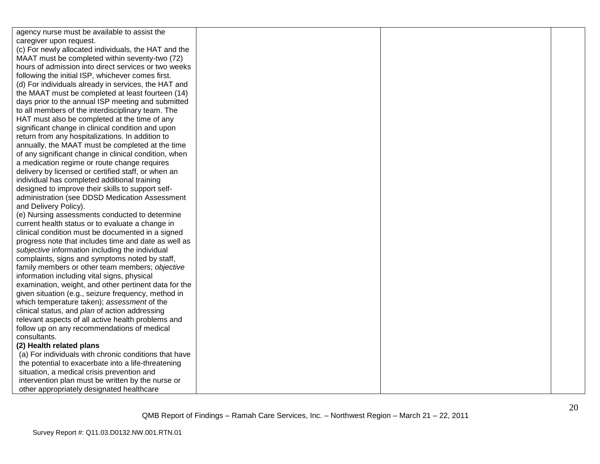| agency nurse must be available to assist the          |  |  |
|-------------------------------------------------------|--|--|
| caregiver upon request.                               |  |  |
| (c) For newly allocated individuals, the HAT and the  |  |  |
| MAAT must be completed within seventy-two (72)        |  |  |
| hours of admission into direct services or two weeks  |  |  |
| following the initial ISP, whichever comes first.     |  |  |
| (d) For individuals already in services, the HAT and  |  |  |
| the MAAT must be completed at least fourteen (14)     |  |  |
| days prior to the annual ISP meeting and submitted    |  |  |
| to all members of the interdisciplinary team. The     |  |  |
| HAT must also be completed at the time of any         |  |  |
| significant change in clinical condition and upon     |  |  |
| return from any hospitalizations. In addition to      |  |  |
| annually, the MAAT must be completed at the time      |  |  |
| of any significant change in clinical condition, when |  |  |
| a medication regime or route change requires          |  |  |
| delivery by licensed or certified staff, or when an   |  |  |
| individual has completed additional training          |  |  |
| designed to improve their skills to support self-     |  |  |
| administration (see DDSD Medication Assessment        |  |  |
| and Delivery Policy).                                 |  |  |
| (e) Nursing assessments conducted to determine        |  |  |
| current health status or to evaluate a change in      |  |  |
| clinical condition must be documented in a signed     |  |  |
| progress note that includes time and date as well as  |  |  |
| subjective information including the individual       |  |  |
| complaints, signs and symptoms noted by staff,        |  |  |
| family members or other team members; objective       |  |  |
| information including vital signs, physical           |  |  |
| examination, weight, and other pertinent data for the |  |  |
| given situation (e.g., seizure frequency, method in   |  |  |
| which temperature taken); assessment of the           |  |  |
| clinical status, and plan of action addressing        |  |  |
| relevant aspects of all active health problems and    |  |  |
| follow up on any recommendations of medical           |  |  |
| consultants.                                          |  |  |
| (2) Health related plans                              |  |  |
| (a) For individuals with chronic conditions that have |  |  |
| the potential to exacerbate into a life-threatening   |  |  |
| situation, a medical crisis prevention and            |  |  |
| intervention plan must be written by the nurse or     |  |  |
| other appropriately designated healthcare             |  |  |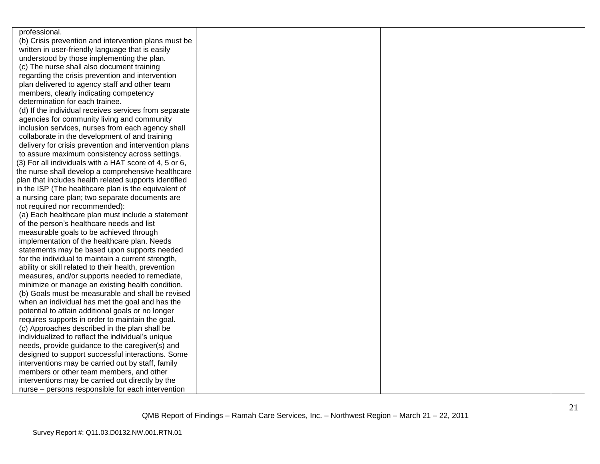| professional.                                          |  |  |
|--------------------------------------------------------|--|--|
| (b) Crisis prevention and intervention plans must be   |  |  |
| written in user-friendly language that is easily       |  |  |
| understood by those implementing the plan.             |  |  |
| (c) The nurse shall also document training             |  |  |
| regarding the crisis prevention and intervention       |  |  |
| plan delivered to agency staff and other team          |  |  |
| members, clearly indicating competency                 |  |  |
| determination for each trainee.                        |  |  |
| (d) If the individual receives services from separate  |  |  |
| agencies for community living and community            |  |  |
| inclusion services, nurses from each agency shall      |  |  |
| collaborate in the development of and training         |  |  |
| delivery for crisis prevention and intervention plans  |  |  |
| to assure maximum consistency across settings.         |  |  |
| (3) For all individuals with a HAT score of 4, 5 or 6, |  |  |
| the nurse shall develop a comprehensive healthcare     |  |  |
| plan that includes health related supports identified  |  |  |
| in the ISP (The healthcare plan is the equivalent of   |  |  |
| a nursing care plan; two separate documents are        |  |  |
| not required nor recommended):                         |  |  |
| (a) Each healthcare plan must include a statement      |  |  |
| of the person's healthcare needs and list              |  |  |
| measurable goals to be achieved through                |  |  |
| implementation of the healthcare plan. Needs           |  |  |
| statements may be based upon supports needed           |  |  |
| for the individual to maintain a current strength,     |  |  |
| ability or skill related to their health, prevention   |  |  |
| measures, and/or supports needed to remediate,         |  |  |
| minimize or manage an existing health condition.       |  |  |
| (b) Goals must be measurable and shall be revised      |  |  |
| when an individual has met the goal and has the        |  |  |
| potential to attain additional goals or no longer      |  |  |
| requires supports in order to maintain the goal.       |  |  |
| (c) Approaches described in the plan shall be          |  |  |
| individualized to reflect the individual's unique      |  |  |
| needs, provide guidance to the caregiver(s) and        |  |  |
| designed to support successful interactions. Some      |  |  |
| interventions may be carried out by staff, family      |  |  |
| members or other team members, and other               |  |  |
| interventions may be carried out directly by the       |  |  |
| nurse - persons responsible for each intervention      |  |  |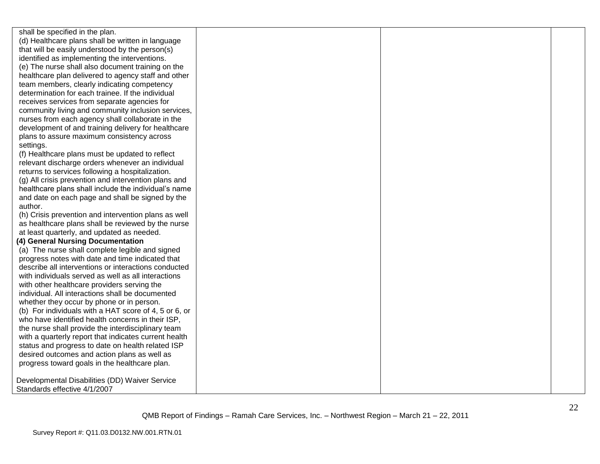shall be specified in the plan. (d) Healthcare plans shall be written in language that will be easily understood by the person(s) identified as implementing the interventions. (e) The nurse shall also document training on the healthcare plan delivered to agency staff and other team members, clearly indicating competency determination for each trainee. If the individual receives services from separate agencies for community living and community inclusion services, nurses from each agency shall collaborate in the development of and training delivery for healthcare plans to assure maximum consistency across settings.

(f) Healthcare plans must be updated to reflect relevant discharge orders whenever an individual returns to services following a hospitalization.

(g) All crisis prevention and intervention plans and healthcare plans shall include the individual's name and date on each page and shall be signed by the author.

(h) Crisis prevention and intervention plans as well as healthcare plans shall be reviewed by the nurse at least quarterly, and updated as needed.

#### **(4) General Nursing Documentation**

(a) The nurse shall complete legible and signed progress notes with date and time indicated that describe all interventions or interactions conducted with individuals served as well as all interactions with other healthcare providers serving the individual. All interactions shall be documented whether they occur by phone or in person. (b) For individuals with a HAT score of 4, 5 or 6, or who have identified health concerns in their ISP, the nurse shall provide the interdisciplinary team with a quarterly report that indicates current health status and progress to date on health related ISP desired outcomes and action plans as well as progress toward goals in the healthcare plan.

Developmental Disabilities (DD) Waiver Service Standards effective 4/1/2007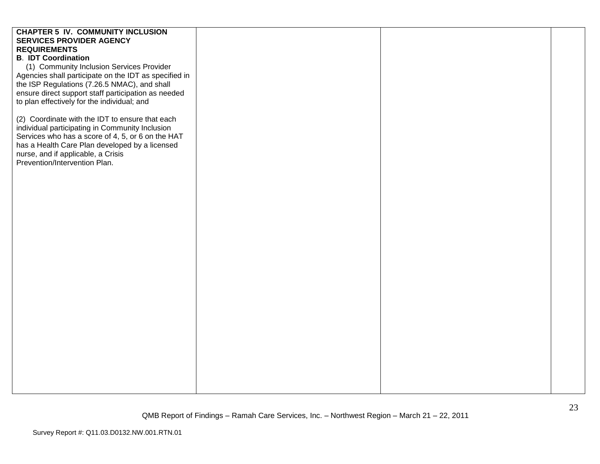# **CHAPTER 5 IV. COMMUNITY INCLUSION SERVICES PROVIDER AGENCY REQUIREMENTS B**. **IDT Coordination** (1) Community Inclusion Services Provider Agencies shall participate on the IDT as specified in the ISP Regulations (7.26.5 NMAC), and shall ensure direct support staff participation as needed to plan effectively for the individual; and (2) Coordinate with the IDT to ensure that each individual participating in Community Inclusion Services who has a score of 4, 5, or 6 on the HAT has a Health Care Plan developed by a licensed nurse, and if applicable, a Crisis Prevention/Intervention Plan.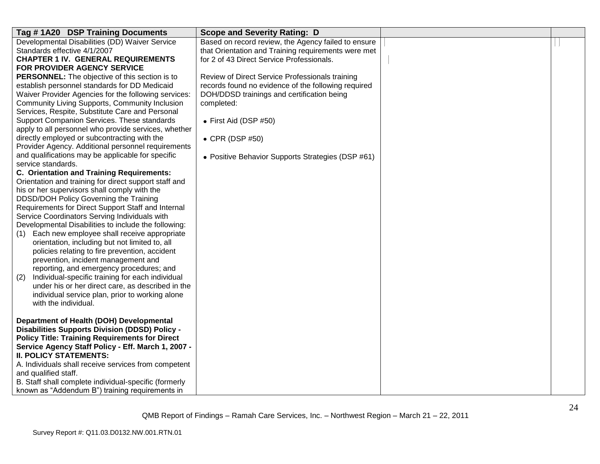| Tag #1A20 DSP Training Documents                        | <b>Scope and Severity Rating: D</b>                 |  |
|---------------------------------------------------------|-----------------------------------------------------|--|
| Developmental Disabilities (DD) Waiver Service          | Based on record review, the Agency failed to ensure |  |
| Standards effective 4/1/2007                            | that Orientation and Training requirements were met |  |
| <b>CHAPTER 1 IV. GENERAL REQUIREMENTS</b>               | for 2 of 43 Direct Service Professionals.           |  |
| FOR PROVIDER AGENCY SERVICE                             |                                                     |  |
| <b>PERSONNEL:</b> The objective of this section is to   | Review of Direct Service Professionals training     |  |
| establish personnel standards for DD Medicaid           | records found no evidence of the following required |  |
| Waiver Provider Agencies for the following services:    | DOH/DDSD trainings and certification being          |  |
| Community Living Supports, Community Inclusion          | completed:                                          |  |
| Services, Respite, Substitute Care and Personal         |                                                     |  |
| Support Companion Services. These standards             | • First Aid (DSP #50)                               |  |
| apply to all personnel who provide services, whether    |                                                     |  |
| directly employed or subcontracting with the            | $\bullet$ CPR (DSP #50)                             |  |
| Provider Agency. Additional personnel requirements      |                                                     |  |
| and qualifications may be applicable for specific       | • Positive Behavior Supports Strategies (DSP #61)   |  |
| service standards.                                      |                                                     |  |
| C. Orientation and Training Requirements:               |                                                     |  |
| Orientation and training for direct support staff and   |                                                     |  |
| his or her supervisors shall comply with the            |                                                     |  |
| DDSD/DOH Policy Governing the Training                  |                                                     |  |
| Requirements for Direct Support Staff and Internal      |                                                     |  |
| Service Coordinators Serving Individuals with           |                                                     |  |
| Developmental Disabilities to include the following:    |                                                     |  |
| Each new employee shall receive appropriate<br>(1)      |                                                     |  |
| orientation, including but not limited to, all          |                                                     |  |
| policies relating to fire prevention, accident          |                                                     |  |
| prevention, incident management and                     |                                                     |  |
| reporting, and emergency procedures; and                |                                                     |  |
| Individual-specific training for each individual<br>(2) |                                                     |  |
| under his or her direct care, as described in the       |                                                     |  |
| individual service plan, prior to working alone         |                                                     |  |
| with the individual.                                    |                                                     |  |
|                                                         |                                                     |  |
| Department of Health (DOH) Developmental                |                                                     |  |
| <b>Disabilities Supports Division (DDSD) Policy -</b>   |                                                     |  |
| <b>Policy Title: Training Requirements for Direct</b>   |                                                     |  |
| Service Agency Staff Policy - Eff. March 1, 2007 -      |                                                     |  |
| <b>II. POLICY STATEMENTS:</b>                           |                                                     |  |
| A. Individuals shall receive services from competent    |                                                     |  |
| and qualified staff.                                    |                                                     |  |
| B. Staff shall complete individual-specific (formerly   |                                                     |  |
| known as "Addendum B") training requirements in         |                                                     |  |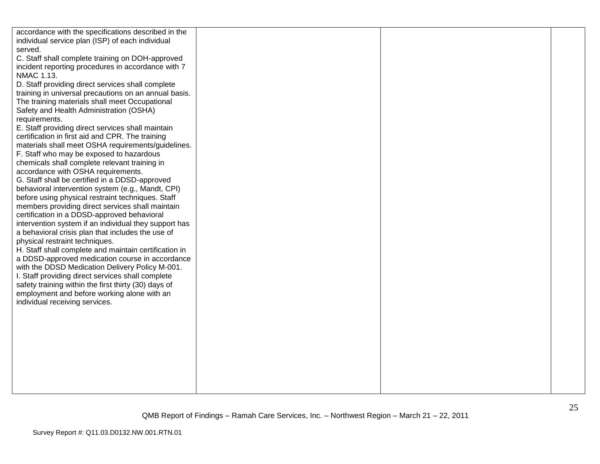| accordance with the specifications described in the   |  |  |
|-------------------------------------------------------|--|--|
| individual service plan (ISP) of each individual      |  |  |
| served.                                               |  |  |
| C. Staff shall complete training on DOH-approved      |  |  |
| incident reporting procedures in accordance with 7    |  |  |
| NMAC 1.13.                                            |  |  |
| D. Staff providing direct services shall complete     |  |  |
| training in universal precautions on an annual basis. |  |  |
| The training materials shall meet Occupational        |  |  |
| Safety and Health Administration (OSHA)               |  |  |
| requirements.                                         |  |  |
| E. Staff providing direct services shall maintain     |  |  |
| certification in first aid and CPR. The training      |  |  |
| materials shall meet OSHA requirements/guidelines.    |  |  |
| F. Staff who may be exposed to hazardous              |  |  |
| chemicals shall complete relevant training in         |  |  |
| accordance with OSHA requirements.                    |  |  |
| G. Staff shall be certified in a DDSD-approved        |  |  |
| behavioral intervention system (e.g., Mandt, CPI)     |  |  |
| before using physical restraint techniques. Staff     |  |  |
| members providing direct services shall maintain      |  |  |
| certification in a DDSD-approved behavioral           |  |  |
| intervention system if an individual they support has |  |  |
| a behavioral crisis plan that includes the use of     |  |  |
| physical restraint techniques.                        |  |  |
| H. Staff shall complete and maintain certification in |  |  |
| a DDSD-approved medication course in accordance       |  |  |
| with the DDSD Medication Delivery Policy M-001.       |  |  |
| I. Staff providing direct services shall complete     |  |  |
| safety training within the first thirty (30) days of  |  |  |
| employment and before working alone with an           |  |  |
| individual receiving services.                        |  |  |
|                                                       |  |  |
|                                                       |  |  |
|                                                       |  |  |
|                                                       |  |  |
|                                                       |  |  |
|                                                       |  |  |
|                                                       |  |  |
|                                                       |  |  |
|                                                       |  |  |
|                                                       |  |  |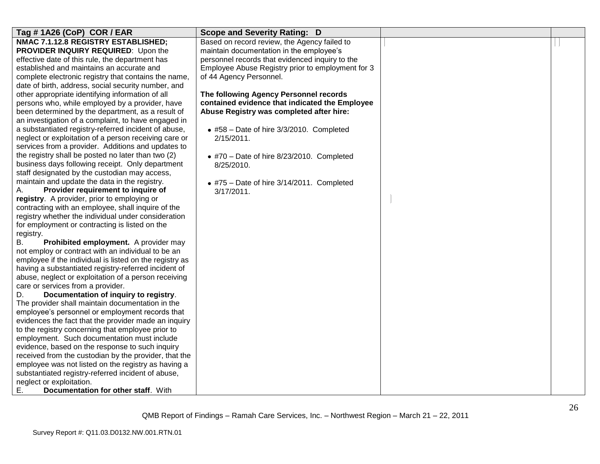| Tag #1A26 (CoP) COR / EAR                                                                 | <b>Scope and Severity Rating: D</b>               |  |
|-------------------------------------------------------------------------------------------|---------------------------------------------------|--|
| NMAC 7.1.12.8 REGISTRY ESTABLISHED;                                                       | Based on record review, the Agency failed to      |  |
| PROVIDER INQUIRY REQUIRED: Upon the                                                       | maintain documentation in the employee's          |  |
| effective date of this rule, the department has                                           | personnel records that evidenced inquiry to the   |  |
| established and maintains an accurate and                                                 | Employee Abuse Registry prior to employment for 3 |  |
| complete electronic registry that contains the name,                                      | of 44 Agency Personnel.                           |  |
| date of birth, address, social security number, and                                       |                                                   |  |
| other appropriate identifying information of all                                          | The following Agency Personnel records            |  |
| persons who, while employed by a provider, have                                           | contained evidence that indicated the Employee    |  |
| been determined by the department, as a result of                                         | Abuse Registry was completed after hire:          |  |
| an investigation of a complaint, to have engaged in                                       |                                                   |  |
| a substantiated registry-referred incident of abuse,                                      | • #58 - Date of hire 3/3/2010. Completed          |  |
| neglect or exploitation of a person receiving care or                                     | $2/15/2011$ .                                     |  |
| services from a provider. Additions and updates to                                        |                                                   |  |
| the registry shall be posted no later than two (2)                                        | $*$ #70 - Date of hire 8/23/2010. Completed       |  |
| business days following receipt. Only department                                          | 8/25/2010.                                        |  |
| staff designated by the custodian may access,                                             |                                                   |  |
| maintain and update the data in the registry.                                             | $*$ #75 - Date of hire 3/14/2011. Completed       |  |
| Provider requirement to inquire of<br>А.                                                  | $3/17/2011$ .                                     |  |
| registry. A provider, prior to employing or                                               |                                                   |  |
| contracting with an employee, shall inquire of the                                        |                                                   |  |
| registry whether the individual under consideration                                       |                                                   |  |
| for employment or contracting is listed on the                                            |                                                   |  |
| registry.                                                                                 |                                                   |  |
| B.<br>Prohibited employment. A provider may                                               |                                                   |  |
| not employ or contract with an individual to be an                                        |                                                   |  |
| employee if the individual is listed on the registry as                                   |                                                   |  |
| having a substantiated registry-referred incident of                                      |                                                   |  |
| abuse, neglect or exploitation of a person receiving<br>care or services from a provider. |                                                   |  |
| Documentation of inquiry to registry.<br>D.                                               |                                                   |  |
| The provider shall maintain documentation in the                                          |                                                   |  |
| employee's personnel or employment records that                                           |                                                   |  |
| evidences the fact that the provider made an inquiry                                      |                                                   |  |
| to the registry concerning that employee prior to                                         |                                                   |  |
| employment. Such documentation must include                                               |                                                   |  |
| evidence, based on the response to such inquiry                                           |                                                   |  |
| received from the custodian by the provider, that the                                     |                                                   |  |
| employee was not listed on the registry as having a                                       |                                                   |  |
| substantiated registry-referred incident of abuse,                                        |                                                   |  |
| neglect or exploitation.                                                                  |                                                   |  |
| Documentation for other staff. With<br>Е.                                                 |                                                   |  |
|                                                                                           |                                                   |  |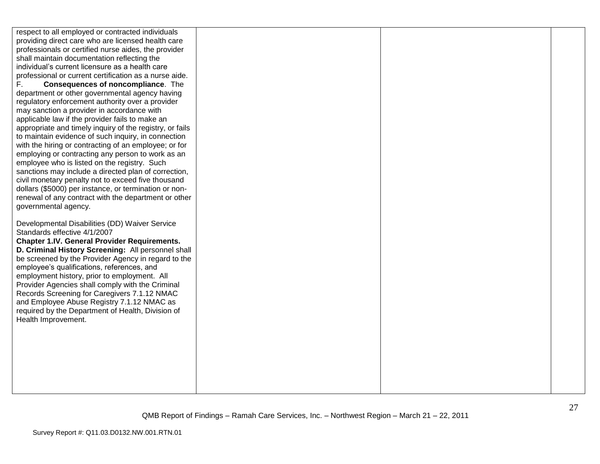respect to all employed or contracted individuals providing direct care who are licensed health care professionals or certified nurse aides, the provider shall maintain documentation reflecting the individual"s current licensure as a health care professional or current certification as a nurse aide. F. **Consequences of noncompliance**. The department or other governmental agency having regulatory enforcement authority over a provider may sanction a provider in accordance with applicable law if the provider fails to make an appropriate and timely inquiry of the registry, or fails to maintain evidence of such inquiry, in connection with the hiring or contracting of an employee; or for employing or contracting any person to work as an employee who is listed on the registry. Such sanctions may include a directed plan of correction, civil monetary penalty not to exceed five thousand dollars (\$5000) per instance, or termination or nonrenewal of any contract with the department or other governmental agency. Developmental Disabilities (DD) Waiver Service Standards effective 4/1/2007 **Chapter 1.IV. General Provider Requirements. D. Criminal History Screening:** All personnel shall be screened by the Provider Agency in regard to the employee"s qualifications, references, and employment history, prior to employment. All Provider Agencies shall comply with the Criminal Records Screening for Caregivers 7.1.12 NMAC and Employee Abuse Registry 7.1.12 NMAC as required by the Department of Health, Division of Health Improvement.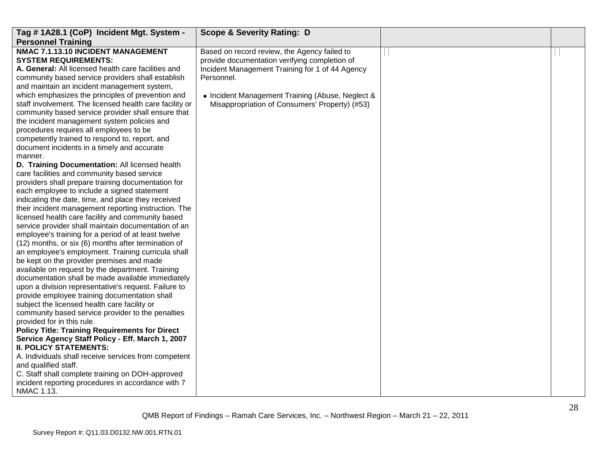| Tag #1A28.1 (CoP) Incident Mgt. System -                                                                                                                                                                                                                                                                            | <b>Scope &amp; Severity Rating: D</b>                                                                                                                          |  |
|---------------------------------------------------------------------------------------------------------------------------------------------------------------------------------------------------------------------------------------------------------------------------------------------------------------------|----------------------------------------------------------------------------------------------------------------------------------------------------------------|--|
| <b>Personnel Training</b><br>NMAC 7.1.13.10 INCIDENT MANAGEMENT<br><b>SYSTEM REQUIREMENTS:</b><br>A. General: All licensed health care facilities and<br>community based service providers shall establish<br>and maintain an incident management system,<br>which emphasizes the principles of prevention and      | Based on record review, the Agency failed to<br>provide documentation verifying completion of<br>Incident Management Training for 1 of 44 Agency<br>Personnel. |  |
| staff involvement. The licensed health care facility or<br>community based service provider shall ensure that<br>the incident management system policies and<br>procedures requires all employees to be<br>competently trained to respond to, report, and<br>document incidents in a timely and accurate<br>manner. | • Incident Management Training (Abuse, Neglect &<br>Misappropriation of Consumers' Property) (#53)                                                             |  |
| D. Training Documentation: All licensed health<br>care facilities and community based service<br>providers shall prepare training documentation for<br>each employee to include a signed statement                                                                                                                  |                                                                                                                                                                |  |
| indicating the date, time, and place they received<br>their incident management reporting instruction. The<br>licensed health care facility and community based<br>service provider shall maintain documentation of an                                                                                              |                                                                                                                                                                |  |
| employee's training for a period of at least twelve<br>(12) months, or six (6) months after termination of<br>an employee's employment. Training curricula shall<br>be kept on the provider premises and made                                                                                                       |                                                                                                                                                                |  |
| available on request by the department. Training<br>documentation shall be made available immediately<br>upon a division representative's request. Failure to<br>provide employee training documentation shall                                                                                                      |                                                                                                                                                                |  |
| subject the licensed health care facility or<br>community based service provider to the penalties<br>provided for in this rule.<br><b>Policy Title: Training Requirements for Direct</b>                                                                                                                            |                                                                                                                                                                |  |
| Service Agency Staff Policy - Eff. March 1, 2007<br><b>II. POLICY STATEMENTS:</b><br>A. Individuals shall receive services from competent                                                                                                                                                                           |                                                                                                                                                                |  |
| and qualified staff.<br>C. Staff shall complete training on DOH-approved<br>incident reporting procedures in accordance with 7<br>NMAC 1.13.                                                                                                                                                                        |                                                                                                                                                                |  |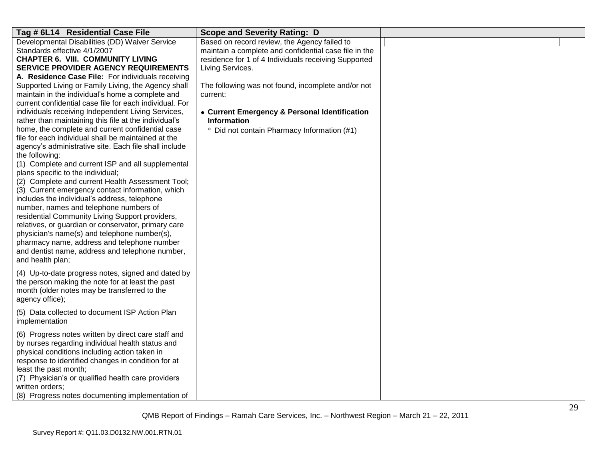| Tag # 6L14 Residential Case File                                                                                                                                                                                                                                                                                                                                                                                                                                                                                                                                                                                                                                                                                                                               | <b>Scope and Severity Rating: D</b>                                                                                                                                               |  |
|----------------------------------------------------------------------------------------------------------------------------------------------------------------------------------------------------------------------------------------------------------------------------------------------------------------------------------------------------------------------------------------------------------------------------------------------------------------------------------------------------------------------------------------------------------------------------------------------------------------------------------------------------------------------------------------------------------------------------------------------------------------|-----------------------------------------------------------------------------------------------------------------------------------------------------------------------------------|--|
| Developmental Disabilities (DD) Waiver Service<br>Standards effective 4/1/2007<br><b>CHAPTER 6. VIII. COMMUNITY LIVING</b><br><b>SERVICE PROVIDER AGENCY REQUIREMENTS</b>                                                                                                                                                                                                                                                                                                                                                                                                                                                                                                                                                                                      | Based on record review, the Agency failed to<br>maintain a complete and confidential case file in the<br>residence for 1 of 4 Individuals receiving Supported<br>Living Services. |  |
| A. Residence Case File: For individuals receiving<br>Supported Living or Family Living, the Agency shall<br>maintain in the individual's home a complete and<br>current confidential case file for each individual. For<br>individuals receiving Independent Living Services,<br>rather than maintaining this file at the individual's                                                                                                                                                                                                                                                                                                                                                                                                                         | The following was not found, incomplete and/or not<br>current:<br>• Current Emergency & Personal Identification<br><b>Information</b>                                             |  |
| home, the complete and current confidential case<br>file for each individual shall be maintained at the<br>agency's administrative site. Each file shall include<br>the following:<br>(1) Complete and current ISP and all supplemental<br>plans specific to the individual;<br>(2) Complete and current Health Assessment Tool;<br>(3) Current emergency contact information, which<br>includes the individual's address, telephone<br>number, names and telephone numbers of<br>residential Community Living Support providers,<br>relatives, or guardian or conservator, primary care<br>physician's name(s) and telephone number(s),<br>pharmacy name, address and telephone number<br>and dentist name, address and telephone number,<br>and health plan; | <sup>o</sup> Did not contain Pharmacy Information (#1)                                                                                                                            |  |
| (4) Up-to-date progress notes, signed and dated by<br>the person making the note for at least the past<br>month (older notes may be transferred to the<br>agency office);                                                                                                                                                                                                                                                                                                                                                                                                                                                                                                                                                                                      |                                                                                                                                                                                   |  |
| (5) Data collected to document ISP Action Plan<br>implementation                                                                                                                                                                                                                                                                                                                                                                                                                                                                                                                                                                                                                                                                                               |                                                                                                                                                                                   |  |
| (6) Progress notes written by direct care staff and<br>by nurses regarding individual health status and<br>physical conditions including action taken in<br>response to identified changes in condition for at<br>least the past month;<br>(7) Physician's or qualified health care providers<br>written orders;<br>(8) Progress notes documenting implementation of                                                                                                                                                                                                                                                                                                                                                                                           |                                                                                                                                                                                   |  |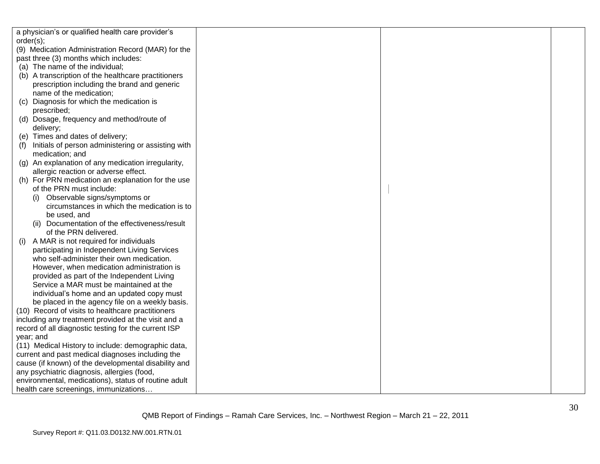| a physician's or qualified health care provider's    |  |  |
|------------------------------------------------------|--|--|
| order(s);                                            |  |  |
| (9) Medication Administration Record (MAR) for the   |  |  |
| past three (3) months which includes:                |  |  |
| (a) The name of the individual;                      |  |  |
| (b) A transcription of the healthcare practitioners  |  |  |
| prescription including the brand and generic         |  |  |
| name of the medication;                              |  |  |
| Diagnosis for which the medication is<br>(C)         |  |  |
| prescribed;                                          |  |  |
| (d) Dosage, frequency and method/route of            |  |  |
| delivery;                                            |  |  |
| (e) Times and dates of delivery;                     |  |  |
| Initials of person administering or assisting with   |  |  |
| medication; and                                      |  |  |
| (g) An explanation of any medication irregularity,   |  |  |
| allergic reaction or adverse effect.                 |  |  |
| (h) For PRN medication an explanation for the use    |  |  |
| of the PRN must include:                             |  |  |
| (i) Observable signs/symptoms or                     |  |  |
| circumstances in which the medication is to          |  |  |
| be used, and                                         |  |  |
| (ii) Documentation of the effectiveness/result       |  |  |
| of the PRN delivered.                                |  |  |
| A MAR is not required for individuals<br>(1)         |  |  |
| participating in Independent Living Services         |  |  |
| who self-administer their own medication.            |  |  |
| However, when medication administration is           |  |  |
| provided as part of the Independent Living           |  |  |
| Service a MAR must be maintained at the              |  |  |
| individual's home and an updated copy must           |  |  |
| be placed in the agency file on a weekly basis.      |  |  |
| (10) Record of visits to healthcare practitioners    |  |  |
| including any treatment provided at the visit and a  |  |  |
| record of all diagnostic testing for the current ISP |  |  |
| year; and                                            |  |  |
| (11) Medical History to include: demographic data,   |  |  |
| current and past medical diagnoses including the     |  |  |
| cause (if known) of the developmental disability and |  |  |
| any psychiatric diagnosis, allergies (food,          |  |  |
| environmental, medications), status of routine adult |  |  |
| health care screenings, immunizations                |  |  |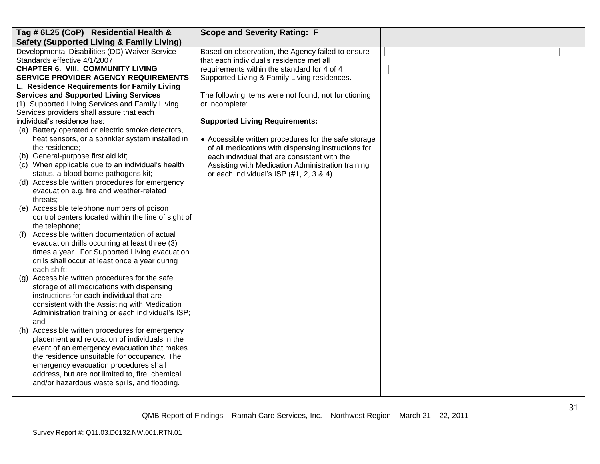| Tag # 6L25 (CoP) Residential Health &                                                   | <b>Scope and Severity Rating: F</b>                  |  |
|-----------------------------------------------------------------------------------------|------------------------------------------------------|--|
| <b>Safety (Supported Living &amp; Family Living)</b>                                    |                                                      |  |
| Developmental Disabilities (DD) Waiver Service                                          | Based on observation, the Agency failed to ensure    |  |
| Standards effective 4/1/2007                                                            | that each individual's residence met all             |  |
| <b>CHAPTER 6. VIII. COMMUNITY LIVING</b>                                                | requirements within the standard for 4 of 4          |  |
| <b>SERVICE PROVIDER AGENCY REQUIREMENTS</b>                                             | Supported Living & Family Living residences.         |  |
| L. Residence Requirements for Family Living                                             |                                                      |  |
| <b>Services and Supported Living Services</b>                                           | The following items were not found, not functioning  |  |
| (1) Supported Living Services and Family Living                                         | or incomplete:                                       |  |
| Services providers shall assure that each                                               |                                                      |  |
| individual's residence has:                                                             | <b>Supported Living Requirements:</b>                |  |
| (a) Battery operated or electric smoke detectors,                                       |                                                      |  |
| heat sensors, or a sprinkler system installed in                                        | • Accessible written procedures for the safe storage |  |
| the residence;                                                                          | of all medications with dispensing instructions for  |  |
| (b) General-purpose first aid kit;                                                      | each individual that are consistent with the         |  |
| (c) When applicable due to an individual's health                                       | Assisting with Medication Administration training    |  |
| status, a blood borne pathogens kit;                                                    | or each individual's ISP $(#1, 2, 3, 8, 4)$          |  |
| (d) Accessible written procedures for emergency                                         |                                                      |  |
| evacuation e.g. fire and weather-related                                                |                                                      |  |
| threats;                                                                                |                                                      |  |
| (e) Accessible telephone numbers of poison                                              |                                                      |  |
| control centers located within the line of sight of                                     |                                                      |  |
| the telephone;                                                                          |                                                      |  |
| Accessible written documentation of actual<br>(f)                                       |                                                      |  |
| evacuation drills occurring at least three (3)                                          |                                                      |  |
| times a year. For Supported Living evacuation                                           |                                                      |  |
| drills shall occur at least once a year during                                          |                                                      |  |
| each shift;                                                                             |                                                      |  |
| Accessible written procedures for the safe<br>(g)                                       |                                                      |  |
| storage of all medications with dispensing<br>instructions for each individual that are |                                                      |  |
| consistent with the Assisting with Medication                                           |                                                      |  |
| Administration training or each individual's ISP;                                       |                                                      |  |
| and                                                                                     |                                                      |  |
| (h) Accessible written procedures for emergency                                         |                                                      |  |
| placement and relocation of individuals in the                                          |                                                      |  |
| event of an emergency evacuation that makes                                             |                                                      |  |
| the residence unsuitable for occupancy. The                                             |                                                      |  |
| emergency evacuation procedures shall                                                   |                                                      |  |
| address, but are not limited to, fire, chemical                                         |                                                      |  |
| and/or hazardous waste spills, and flooding.                                            |                                                      |  |
|                                                                                         |                                                      |  |
|                                                                                         |                                                      |  |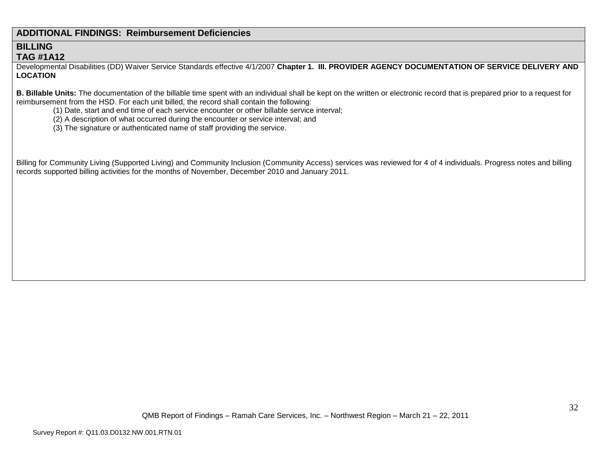## **ADDITIONAL FINDINGS: Reimbursement Deficiencies**

## **BILLING TAG #1A12**

Developmental Disabilities (DD) Waiver Service Standards effective 4/1/2007 **Chapter 1. III. PROVIDER AGENCY DOCUMENTATION OF SERVICE DELIVERY AND LOCATION**

**B. Billable Units:** The documentation of the billable time spent with an individual shall be kept on the written or electronic record that is prepared prior to a request for reimbursement from the HSD. For each unit billed, the record shall contain the following:

- (1) Date, start and end time of each service encounter or other billable service interval;
- (2) A description of what occurred during the encounter or service interval; and
- (3) The signature or authenticated name of staff providing the service.

Billing for Community Living (Supported Living) and Community Inclusion (Community Access) services was reviewed for 4 of 4 individuals. Progress notes and billing records supported billing activities for the months of November, December 2010 and January 2011.